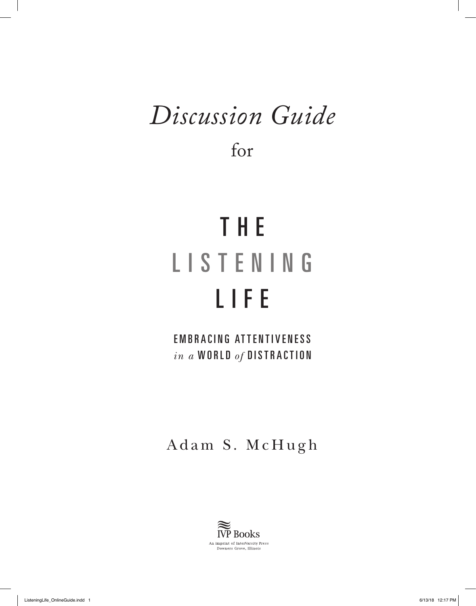## *Discussion Guide*

for

# T H E LISTENING LIFE

EMBRACING ATTENTIVENESS *in a* WORLD *of* DISTRACTION

Adam S. McHugh

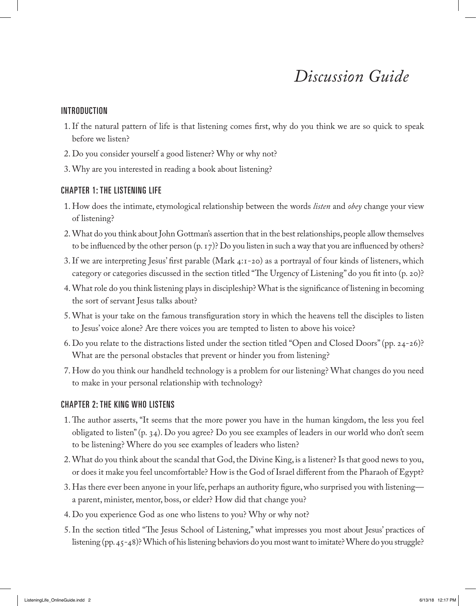### *Discussion Guide*

#### INTRODUCTION

- 1.If the natural pattern of life is that listening comes first, why do you think we are so quick to speak before we listen?
- 2. Do you consider yourself a good listener? Why or why not?
- 3. Why are you interested in reading a book about listening?

#### CHAPTER 1: THE LISTENING LIFE

- 1. How does the intimate, etymological relationship between the words *listen* and *obey* change your view of listening?
- 2. What do you think about John Gottman's assertion that in the best relationships, people allow themselves to be influenced by the other person (p. 17)? Do you listen in such a way that you are influenced by others?
- 3.If we are interpreting Jesus' first parable (Mark 4:1-20) as a portrayal of four kinds of listeners, which category or categories discussed in the section titled "The Urgency of Listening" do you fit into (p. 20)?
- 4. What role do you think listening plays in discipleship? What is the significance of listening in becoming the sort of servant Jesus talks about?
- 5. What is your take on the famous transfiguration story in which the heavens tell the disciples to listen to Jesus' voice alone? Are there voices you are tempted to listen to above his voice?
- 6. Do you relate to the distractions listed under the section titled "Open and Closed Doors" (pp. 24-26)? What are the personal obstacles that prevent or hinder you from listening?
- 7. How do you think our handheld technology is a problem for our listening? What changes do you need to make in your personal relationship with technology?

#### CHAPTER 2: THE KING WHO LISTENS

- 1.The author asserts, "It seems that the more power you have in the human kingdom, the less you feel obligated to listen" (p. 34). Do you agree? Do you see examples of leaders in our world who don't seem to be listening? Where do you see examples of leaders who listen?
- 2. What do you think about the scandal that God, the Divine King, is a listener? Is that good news to you, or does it make you feel uncomfortable? How is the God of Israel different from the Pharaoh of Egypt?
- 3. Has there ever been anyone in your life, perhaps an authority figure, who surprised you with listening a parent, minister, mentor, boss, or elder? How did that change you?
- 4. Do you experience God as one who listens to you? Why or why not?
- 5.In the section titled "The Jesus School of Listening," what impresses you most about Jesus' practices of listening (pp. 45-48)? Which of his listening behaviors do you most want to imitate? Where do you struggle?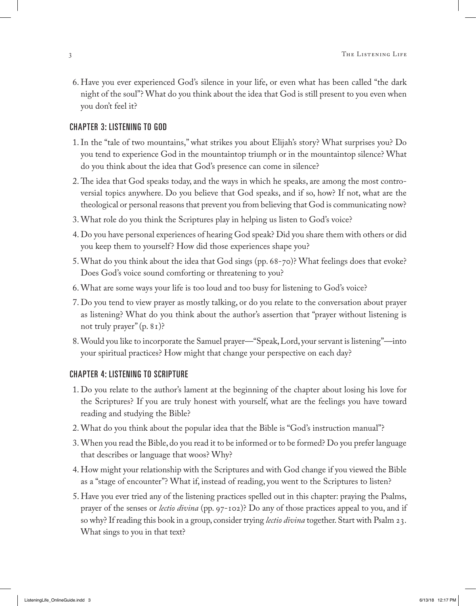6. Have you ever experienced God's silence in your life, or even what has been called "the dark night of the soul"? What do you think about the idea that God is still present to you even when you don't feel it?

#### CHAPTER 3: LISTENING TO GOD

- 1.In the "tale of two mountains," what strikes you about Elijah's story? What surprises you? Do you tend to experience God in the mountaintop triumph or in the mountaintop silence? What do you think about the idea that God's presence can come in silence?
- 2.The idea that God speaks today, and the ways in which he speaks, are among the most controversial topics anywhere. Do you believe that God speaks, and if so, how? If not, what are the theological or personal reasons that prevent you from believing that God is communicating now?
- 3. What role do you think the Scriptures play in helping us listen to God's voice?
- 4. Do you have personal experiences of hearing God speak? Did you share them with others or did you keep them to yourself? How did those experiences shape you?
- 5. What do you think about the idea that God sings (pp. 68-70)? What feelings does that evoke? Does God's voice sound comforting or threatening to you?
- 6. What are some ways your life is too loud and too busy for listening to God's voice?
- 7. Do you tend to view prayer as mostly talking, or do you relate to the conversation about prayer as listening? What do you think about the author's assertion that "prayer without listening is not truly prayer" (p. 81)?
- 8. Would you like to incorporate the Samuel prayer—"Speak, Lord, your servant is listening"—into your spiritual practices? How might that change your perspective on each day?

#### CHAPTER 4: LISTENING TO SCRIPTURE

- 1. Do you relate to the author's lament at the beginning of the chapter about losing his love for the Scriptures? If you are truly honest with yourself, what are the feelings you have toward reading and studying the Bible?
- 2. What do you think about the popular idea that the Bible is "God's instruction manual"?
- 3. When you read the Bible, do you read it to be informed or to be formed? Do you prefer language that describes or language that woos? Why?
- 4. How might your relationship with the Scriptures and with God change if you viewed the Bible as a "stage of encounter"? What if, instead of reading, you went to the Scriptures to listen?
- 5. Have you ever tried any of the listening practices spelled out in this chapter: praying the Psalms, prayer of the senses or *lectio divina* (pp. 97-102)? Do any of those practices appeal to you, and if so why? If reading this book in a group, consider trying *lectio divina* together. Start with Psalm 23. What sings to you in that text?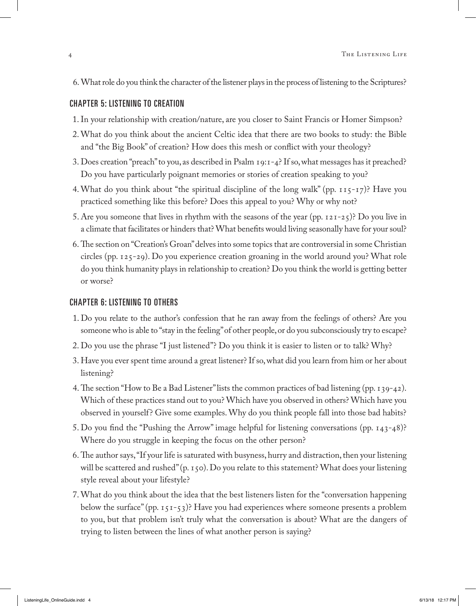6. What role do you think the character of the listener plays in the process of listening to the Scriptures?

#### CHAPTER 5: LISTENING TO CREATION

- 1.In your relationship with creation/nature, are you closer to Saint Francis or Homer Simpson?
- 2. What do you think about the ancient Celtic idea that there are two books to study: the Bible and "the Big Book" of creation? How does this mesh or conflict with your theology?
- 3. Does creation "preach" to you, as described in Psalm 19:1-4? If so, what messages has it preached? Do you have particularly poignant memories or stories of creation speaking to you?
- 4. What do you think about "the spiritual discipline of the long walk" (pp. 115-17)? Have you practiced something like this before? Does this appeal to you? Why or why not?
- 5. Are you someone that lives in rhythm with the seasons of the year (pp. 121-25)? Do you live in a climate that facilitates or hinders that? What benefits would living seasonally have for your soul?
- 6.The section on "Creation's Groan" delves into some topics that are controversial in some Christian circles (pp. 125-29). Do you experience creation groaning in the world around you? What role do you think humanity plays in relationship to creation? Do you think the world is getting better or worse?

#### CHAPTER 6: LISTENING TO OTHERS

- 1. Do you relate to the author's confession that he ran away from the feelings of others? Are you someone who is able to "stay in the feeling" of other people, or do you subconsciously try to escape?
- 2. Do you use the phrase "I just listened"? Do you think it is easier to listen or to talk? Why?
- 3. Have you ever spent time around a great listener? If so, what did you learn from him or her about listening?
- 4.The section "How to Be a Bad Listener" lists the common practices of bad listening (pp. 139-42). Which of these practices stand out to you? Which have you observed in others? Which have you observed in yourself? Give some examples. Why do you think people fall into those bad habits?
- 5. Do you find the "Pushing the Arrow" image helpful for listening conversations (pp. 143-48)? Where do you struggle in keeping the focus on the other person?
- 6.The author says, "If your life is saturated with busyness, hurry and distraction, then your listening will be scattered and rushed" (p. 150). Do you relate to this statement? What does your listening style reveal about your lifestyle?
- 7. What do you think about the idea that the best listeners listen for the "conversation happening below the surface" (pp. 151-53)? Have you had experiences where someone presents a problem to you, but that problem isn't truly what the conversation is about? What are the dangers of trying to listen between the lines of what another person is saying?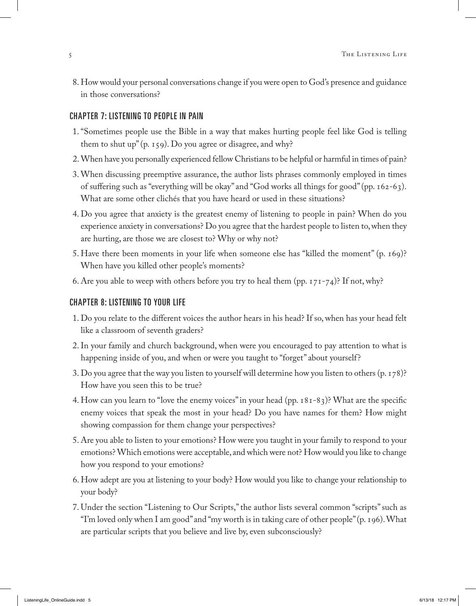8. How would your personal conversations change if you were open to God's presence and guidance in those conversations?

#### CHAPTER 7: LISTENING TO PEOPLE IN PAIN

- 1."Sometimes people use the Bible in a way that makes hurting people feel like God is telling them to shut up" (p. 159). Do you agree or disagree, and why?
- 2. When have you personally experienced fellow Christians to be helpful or harmful in times of pain?
- 3. When discussing preemptive assurance, the author lists phrases commonly employed in times of suffering such as "everything will be okay" and "God works all things for good" (pp. 162-63). What are some other clichés that you have heard or used in these situations?
- 4. Do you agree that anxiety is the greatest enemy of listening to people in pain? When do you experience anxiety in conversations? Do you agree that the hardest people to listen to, when they are hurting, are those we are closest to? Why or why not?
- 5. Have there been moments in your life when someone else has "killed the moment" (p. 169)? When have you killed other people's moments?
- 6. Are you able to weep with others before you try to heal them (pp.  $171-74$ )? If not, why?

#### CHAPTER 8: LISTENING TO YOUR LIFE

- 1. Do you relate to the different voices the author hears in his head? If so, when has your head felt like a classroom of seventh graders?
- 2.In your family and church background, when were you encouraged to pay attention to what is happening inside of you, and when or were you taught to "forget" about yourself?
- 3. Do you agree that the way you listen to yourself will determine how you listen to others (p. 178)? How have you seen this to be true?
- 4. How can you learn to "love the enemy voices" in your head (pp. 181-83)? What are the specific enemy voices that speak the most in your head? Do you have names for them? How might showing compassion for them change your perspectives?
- 5. Are you able to listen to your emotions? How were you taught in your family to respond to your emotions? Which emotions were acceptable, and which were not? How would you like to change how you respond to your emotions?
- 6. How adept are you at listening to your body? How would you like to change your relationship to your body?
- 7. Under the section "Listening to Our Scripts," the author lists several common "scripts" such as "I'm loved only when I am good" and "my worth is in taking care of other people" (p. 196). What are particular scripts that you believe and live by, even subconsciously?